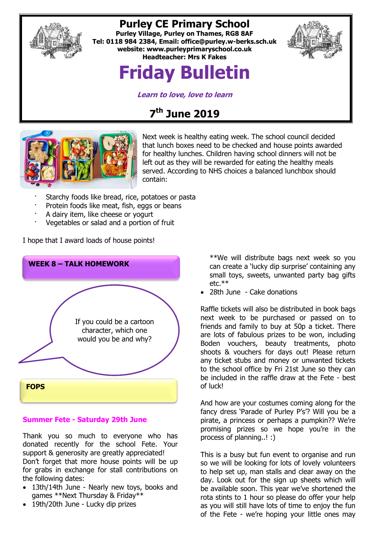

## **Purley CE Primary School**

**Purley Village, Purley on Thames, RG8 8AF Tel: 0118 984 2384, Email: [office@purley.w-berks.sch.uk](mailto:office@purley.w-berks.sch.uk) website: www.purleyprimaryschool.co.uk Headteacher: Mrs K Fakes**



# **Friday Bulletin**

**Learn to love, love to learn**

## **7 th June 2019**



Next week is healthy eating week. The school council decided that lunch boxes need to be checked and house points awarded for healthy lunches. Children having school dinners will not be left out as they will be rewarded for eating the healthy meals served. According to NHS choices a balanced lunchbox should contain:

- Starchy foods like bread, rice, potatoes or pasta
- Protein foods like meat, fish, eggs or beans
- A dairy item, like cheese or yogurt
- · Vegetables or salad and a portion of fruit

I hope that I award loads of house points!



#### **Summer Fete - Saturday 29th June**

Thank you so much to everyone who has donated recently for the school Fete. Your support & generosity are greatly appreciated! Don't forget that more house points will be up for grabs in exchange for stall contributions on the following dates:

- 13th/14th June Nearly new toys, books and games \*\*Next Thursday & Friday\*\*
- 19th/20th June Lucky dip prizes

\*\*We will distribute bags next week so you can create a 'lucky dip surprise' containing any small toys, sweets, unwanted party bag gifts  $etc.***$ 

28th June - Cake donations

Raffle tickets will also be distributed in book bags next week to be purchased or passed on to friends and family to buy at 50p a ticket. There are lots of fabulous prizes to be won, including Boden vouchers, beauty treatments, photo shoots & vouchers for days out! Please return any ticket stubs and money or unwanted tickets to the school office by Fri 21st June so they can be included in the raffle draw at the Fete - best of luck!

And how are your costumes coming along for the fancy dress 'Parade of Purley P's'? Will you be a pirate, a princess or perhaps a pumpkin?? We're promising prizes so we hope you're in the process of planning..! :)

This is a busy but fun event to organise and run so we will be looking for lots of lovely volunteers to help set up, man stalls and clear away on the day. Look out for the sign up sheets which will be available soon. This year we've shortened the rota stints to 1 hour so please do offer your help as you will still have lots of time to enjoy the fun of the Fete - we're hoping your little ones may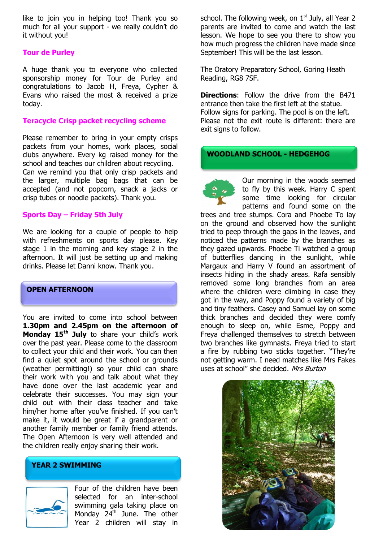like to join you in helping too! Thank you so much for all your support - we really couldn't do it without you!

#### **Tour de Purley**

A huge thank you to everyone who collected sponsorship money for Tour de Purley and congratulations to Jacob H, Freya, Cypher & Evans who raised the most & received a prize today.

#### **Teracycle Crisp packet recycling scheme**

Please remember to bring in your empty crisps packets from your homes, work places, social clubs anywhere. Every kg raised money for the school and teaches our children about recycling. Can we remind you that only crisp packets and the larger, multiple bag bags that can be accepted (and not popcorn, snack a jacks or crisp tubes or noodle packets). Thank you.

#### **Sports Day – Friday 5th July**

We are looking for a couple of people to help with refreshments on sports day please. Key stage 1 in the morning and key stage 2 in the afternoon. It will just be setting up and making drinks. Please let Danni know. Thank you.

#### **OPEN AFTERNOON**

You are invited to come into school between **1.30pm and 2.45pm on the afternoon of Monday 15th July** to share your child's work over the past year. Please come to the classroom to collect your child and their work. You can then find a quiet spot around the school or grounds (weather permitting!) so your child can share their work with you and talk about what they have done over the last academic year and celebrate their successes. You may sign your child out with their class teacher and take him/her home after you've finished. If you can't make it, it would be great if a grandparent or another family member or family friend attends. The Open Afternoon is very well attended and the children really enjoy sharing their work.

#### **YEAR 2 SWIMMING**



Four of the children have been selected for an inter-school swimming gala taking place on Monday  $24<sup>th</sup>$  June. The other Year 2 children will stay in

school. The following week, on  $1<sup>st</sup>$  July, all Year 2 parents are invited to come and watch the last lesson. We hope to see you there to show you how much progress the children have made since September! This will be the last lesson.

The Oratory Preparatory School, Goring Heath Reading, RG8 7SF.

**Directions:** Follow the drive from the B471 entrance then take the first left at the statue. Follow signs for parking. The pool is on the left. Please not the exit route is different: there are exit signs to follow.

#### **WOODLAND SCHOOL - HEDGEHOG**

Our morning in the woods seemed to fly by this week. Harry C spent some time looking for circular patterns and found some on the

trees and tree stumps. Cora and Phoebe To lay on the ground and observed how the sunlight tried to peep through the gaps in the leaves, and noticed the patterns made by the branches as they gazed upwards. Phoebe Ti watched a group of butterflies dancing in the sunlight, while Margaux and Harry V found an assortment of insects hiding in the shady areas. Rafa sensibly removed some long branches from an area where the children were climbing in case they got in the way, and Poppy found a variety of big and tiny feathers. Casey and Samuel lay on some thick branches and decided they were comfy enough to sleep on, while Esme, Poppy and Freya challenged themselves to stretch between two branches like gymnasts. Freya tried to start a fire by rubbing two sticks together. "They're not getting warm. I need matches like Mrs Fakes uses at school" she decided. Mrs Burton

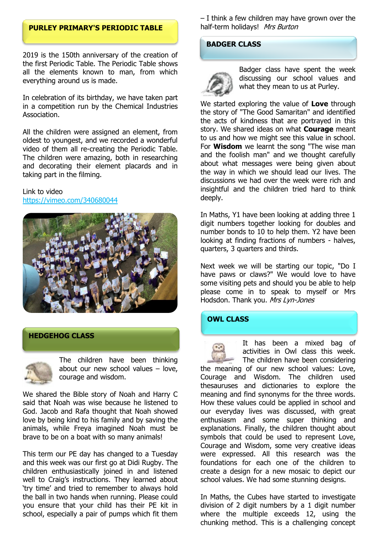#### **PURLEY PRIMARY'S PERIODIC TABLE**

2019 is the 150th anniversary of the creation of the first Periodic Table. The Periodic Table shows all the elements known to man, from which everything around us is made.

In celebration of its birthday, we have taken part in a competition run by the Chemical Industries Association.

All the children were assigned an element, from oldest to youngest, and we recorded a wonderful video of them all re-creating the Periodic Table. The children were amazing, both in researching and decorating their element placards and in taking part in the filming.

### Link to video

<https://vimeo.com/340680044>



#### **HEDGEHOG CLASS**



The children have been thinking about our new school values – love, courage and wisdom.

We shared the Bible story of Noah and Harry C said that Noah was wise because he listened to God. Jacob and Rafa thought that Noah showed love by being kind to his family and by saving the animals, while Freya imagined Noah must be brave to be on a boat with so many animals!

This term our PE day has changed to a Tuesday and this week was our first go at Didi Rugby. The children enthusiastically joined in and listened well to Craig's instructions. They learned about 'try time' and tried to remember to always hold the ball in two hands when running. Please could you ensure that your child has their PE kit in school, especially a pair of pumps which fit them

– I think a few children may have grown over the half-term holidays! Mrs Burton

#### **BADGER CLASS**



Badger class have spent the week discussing our school values and what they mean to us at Purley.

We started exploring the value of **Love** through the story of "The Good Samaritan" and identified the acts of kindness that are portrayed in this story. We shared ideas on what **Courage** meant to us and how we might see this value in school. For **Wisdom** we learnt the song "The wise man and the foolish man" and we thought carefully about what messages were being given about the way in which we should lead our lives. The discussions we had over the week were rich and insightful and the children tried hard to think deeply.

In Maths, Y1 have been looking at adding three 1 digit numbers together looking for doubles and number bonds to 10 to help them. Y2 have been looking at finding fractions of numbers - halves, quarters, 3 quarters and thirds.

Next week we will be starting our topic, "Do I have paws or claws?" We would love to have some visiting pets and should you be able to help please come in to speak to myself or Mrs Hodsdon. Thank you. Mrs Lyn-Jones

#### **OWL CLASS**

It has been a mixed bag of activities in Owl class this week. The children have been considering the meaning of our new school values: Love, Courage and Wisdom. The children used thesauruses and dictionaries to explore the meaning and find synonyms for the three words. How these values could be applied in school and our everyday lives was discussed, with great enthusiasm and some super thinking and explanations. Finally, the children thought about symbols that could be used to represent Love, Courage and Wisdom, some very creative ideas were expressed. All this research was the foundations for each one of the children to create a design for a new mosaic to depict our school values. We had some stunning designs.

In Maths, the Cubes have started to investigate division of 2 digit numbers by a 1 digit number where the multiple exceeds 12, using the chunking method. This is a challenging concept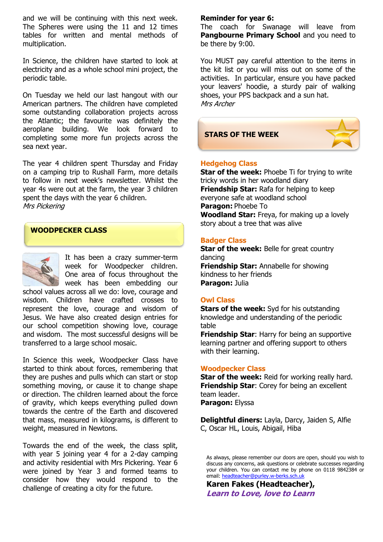and we will be continuing with this next week. The Spheres were using the 11 and 12 times tables for written and mental methods of multiplication.

In Science, the children have started to look at electricity and as a whole school mini project, the periodic table.

On Tuesday we held our last hangout with our American partners. The children have completed some outstanding collaboration projects across the Atlantic; the favourite was definitely the aeroplane building. We look forward to completing some more fun projects across the sea next year.

The year 4 children spent Thursday and Friday on a camping trip to Rushall Farm, more details to follow in next week's newsletter. Whilst the year 4s were out at the farm, the year 3 children spent the days with the year 6 children. Mrs Pickering

#### **WOODPECKER CLASS**



It has been a crazy summer-term week for Woodpecker children. One area of focus throughout the week has been embedding our

school values across all we do: love, courage and wisdom. Children have crafted crosses to represent the love, courage and wisdom of Jesus. We have also created design entries for our school competition showing love, courage and wisdom. The most successful designs will be transferred to a large school mosaic.

In Science this week, Woodpecker Class have started to think about forces, remembering that they are pushes and pulls which can start or stop something moving, or cause it to change shape or direction. The children learned about the force of gravity, which keeps everything pulled down towards the centre of the Earth and discovered that mass, measured in kilograms, is different to weight, measured in Newtons.

Towards the end of the week, the class split, with year 5 joining year 4 for a 2-day camping and activity residential with Mrs Pickering. Year 6 were joined by Year 3 and formed teams to consider how they would respond to the challenge of creating a city for the future.

#### **Reminder for year 6:**

The coach for Swanage will leave from **Pangbourne Primary School** and you need to be there by 9:00.

You MUST pay careful attention to the items in the kit list or you will miss out on some of the activities. In particular, ensure you have packed your leavers' hoodie, a sturdy pair of walking shoes, your PPS backpack and a sun hat. Mrs Archer



#### **Hedgehog Class**

**Star of the week: Phoebe Ti for trying to write** tricky words in her woodland diary **Friendship Star:** Rafa for helping to keep everyone safe at woodland school **Paragon:** Phoebe To **Woodland Star:** Freya, for making up a lovely story about a tree that was alive

#### **Badger Class**

**Star of the week:** Belle for great country dancing **Friendship Star:** Annabelle for showing kindness to her friends **Paragon:** Julia

#### **Owl Class**

**Stars of the week:** Syd for his outstanding knowledge and understanding of the periodic table

**Friendship Star**: Harry for being an supportive learning partner and offering support to others with their learning.

#### **Woodpecker Class**

**Star of the week:** Reid for working really hard. **Friendship Star**: Corey for being an excellent team leader. **Paragon:** Elyssa

**Delightful diners:** Layla, Darcy, Jaiden S, Alfie C, Oscar HL, Louis, Abigail, Hiba

As always, please remember our doors are open, should you wish to discuss any concerns, ask questions or celebrate successes regarding your children. You can contact me by phone on 0118 9842384 or email: headteacher@purley.w-berks.s

**Karen Fakes (Headteacher), Learn to Love, love to Learn**